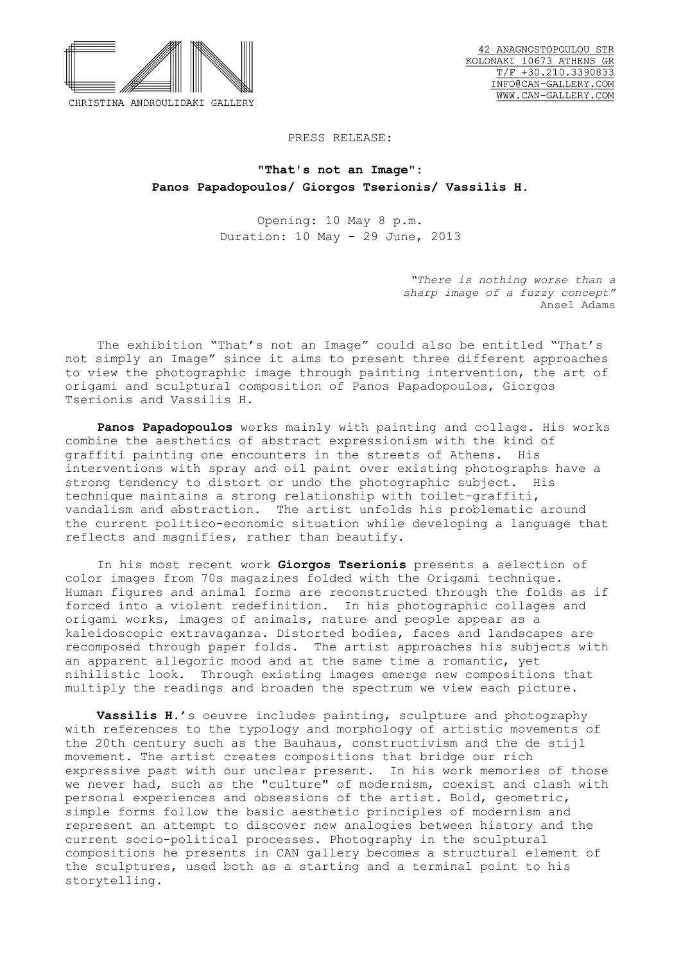

## PRESS RELEASE:

**"That's not an Image": Panos Papadopoulos/ Giorgos Tserionis/ Vassilis H.** 

> Opening: 10 May 8 p.m. Duration: 10 May - 29 June, 2013

> > *"There is nothing worse than a sharp image of a fuzzy concept"* Ansel Adams

 The exhibition "That's not an Image" could also be entitled "That's not simply an Image" since it aims to present three different approaches to view the photographic image through painting intervention, the art of origami and sculptural composition of Panos Papadopoulos, Giorgos Tserionis and Vassilis H.

 **Panos Papadopoulos** works mainly with painting and collage. His works combine the aesthetics of abstract expressionism with the kind of graffiti painting one encounters in the streets of Athens. His interventions with spray and oil paint over existing photographs have a strong tendency to distort or undo the photographic subject. His technique maintains a strong relationship with toilet-graffiti, vandalism and abstraction. The artist unfolds his problematic around the current politico-economic situation while developing a language that reflects and magnifies, rather than beautify.

 In his most recent work **Giorgos Tserionis** presents a selection of color images from 70s magazines folded with the Origami technique. Human figures and animal forms are reconstructed through the folds as if forced into a violent redefinition. In his photographic collages and origami works, images of animals, nature and people appear as a kaleidoscopic extravaganza. Distorted bodies, faces and landscapes are recomposed through paper folds. The artist approaches his subjects with an apparent allegoric mood and at the same time a romantic, yet nihilistic look. Through existing images emerge new compositions that multiply the readings and broaden the spectrum we view each picture.

**Vassilis H.**'s oeuvre includes painting, sculpture and photography with references to the typology and morphology of artistic movements of the 20th century such as the Bauhaus, constructivism and the de stijl movement. The artist creates compositions that bridge our rich expressive past with our unclear present. In his work memories of those we never had, such as the "culture" of modernism, coexist and clash with personal experiences and obsessions of the artist. Bold, geometric, simple forms follow the basic aesthetic principles of modernism and represent an attempt to discover new analogies between history and the current socio-political processes. Photography in the sculptural compositions he presents in CAN gallery becomes a structural element of the sculptures, used both as a starting and a terminal point to his storytelling.